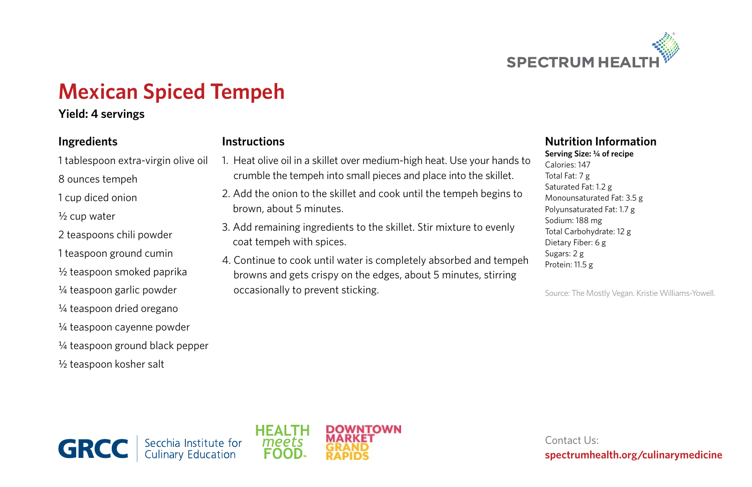

# **Mexican Spiced Tempeh**

### **Yield: 4 servings**

#### **Ingredients**

- 1 tablespoon extra-virgin olive oil 8 ounces tempeh
- 1 cup diced onion
- ½ cup water
- 2 teaspoons chili powder
- 1 teaspoon ground cumin
- ½ teaspoon smoked paprika
- ¼ teaspoon garlic powder
- ¼ teaspoon dried oregano
- ¼ teaspoon cayenne powder
- ¼ teaspoon ground black pepper

½ teaspoon kosher salt

#### **Instructions**

- 1. Heat olive oil in a skillet over medium-high heat. Use your hands to crumble the tempeh into small pieces and place into the skillet.
- 2. Add the onion to the skillet and cook until the tempeh begins to brown, about 5 minutes.
- 3. Add remaining ingredients to the skillet. Stir mixture to evenly coat tempeh with spices.
- 4. Continue to cook until water is completely absorbed and tempeh browns and gets crispy on the edges, about 5 minutes, stirring occasionally to prevent sticking.

## **Nutrition Information**

**Serving Size: ¼ of recipe** Calories: 147 Total Fat: 7 g Saturated Fat: 1.2 g Monounsaturated Fat: 3.5 g Polyunsaturated Fat: 1.7 g Sodium: 188 mg Total Carbohydrate: 12 g Dietary Fiber: 6 g Sugars: 2 g Protein: 11.5 g

Source: The Mostly Vegan. Kristie Williams-Yowell.





Contact Us: **spectrumhealth.org/culinarymedicine**